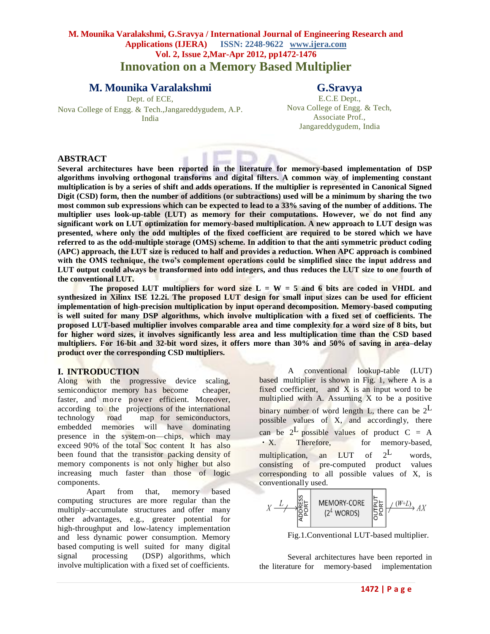# **M. Mounika Varalakshmi, G.Sravya / International Journal of Engineering Research and Applications (IJERA) ISSN: 2248-9622 www.ijera.com Vol. 2, Issue 2,Mar-Apr 2012, pp1472-1476 Innovation on a Memory Based Multiplier**

# **M. Mounika Varalakshmi**

## **G.Sravya**

Dept. of ECE, Nova College of Engg. & Tech.,Jangareddygudem, A.P. India

E.C.E Dept., Nova College of Engg. & Tech, Associate Prof., Jangareddygudem, India

#### **ABSTRACT**

**Several architectures have been reported in the literature for memory-based implementation of DSP algorithms involving orthogonal transforms and digital filters. A common way of implementing constant multiplication is by a series of shift and adds operations. If the multiplier is represented in Canonical Signed Digit (CSD) form, then the number of additions (or subtractions) used will be a minimum by sharing the two most common sub expressions which can be expected to lead to a 33% saving of the number of additions. The multiplier uses look-up-table (LUT) as memory for their computations. However, we do not find any significant work on LUT optimization for memory-based multiplication. A new approach to LUT design was presented, where only the odd multiples of the fixed coefficient are required to be stored which we have referred to as the odd-multiple storage (OMS) scheme. In addition to that the anti symmetric product coding (APC) approach, the LUT size is reduced to half and provides a reduction. When APC approach is combined with the OMS technique, the two's complement operations could be simplified since the input address and LUT output could always be transformed into odd integers, and thus reduces the LUT size to one fourth of the conventional LUT.** 

The proposed LUT multipliers for word size  $L = W = 5$  and 6 bits are coded in VHDL and **synthesized in Xilinx ISE 12.2i. The proposed LUT design for small input sizes can be used for efficient implementation of high-precision multiplication by input operand decomposition. Memory-based computing is well suited for many DSP algorithms, which involve multiplication with a fixed set of coefficients. The proposed LUT-based multiplier involves comparable area and time complexity for a word size of 8 bits, but for higher word sizes, it involves significantly less area and less multiplication time than the CSD based multipliers. For 16-bit and 32-bit word sizes, it offers more than 30% and 50% of saving in area–delay product over the corresponding CSD multipliers.**

#### **I. INTRODUCTION**

Along with the progressive device scaling, semiconductor memory has become cheaper, faster, and more po wer efficient. Moreover, according to the projections of the international technology road map for semiconductors, embedded memories will have dominating presence in the system-on—chips, which may exceed 90% of the total Soc content It has also been found that the transistor packing density of memory components is not only higher but also increasing much faster than those of logic components.

Apart from that, memory based computing structures are more regular than the multiply–accumulate structures and offer many other advantages, e.g., greater potential for high-throughput and low-latency implementation and less dynamic power consumption. Memory based computing is well suited for many digital signal processing (DSP) algorithms, which involve multiplication with a fixed set of coefficients.

A conventional lookup-table (LUT) based multiplier is shown in Fig. 1, where A is a fixed coefficient, and  $X$  is an input word to be multiplied with A. Assuming X to be a positive binary number of word length L, there can be  $2^L$ possible values of X, and accordingly, there can be  $2^L$  possible values of product C = A • X. Therefore, for memory-based, multiplication, an LUT of  $2^L$ words. consisting of pre-computed product values corresponding to all possible values of X, is conventionally used.

$$
Y \xrightarrow{L} \begin{matrix} 1 & 0 & 0 & 0 \\ 0 & 0 & 0 & 0 \\ 0 & 0 & 0 & 0 \\ 0 & 0 & 0 & 0 \end{matrix}
$$
 
$$
(2^L \text{ WORDS}) \qquad \begin{matrix} 1 & 0 & 0 \\ 0 & 0 & 0 \\ 0 & 0 & 0 \end{matrix} \xrightarrow{W+L} AX
$$

Fig.1.Conventional LUT-based multiplier.

Several architectures have been reported in the literature for memory-based implementation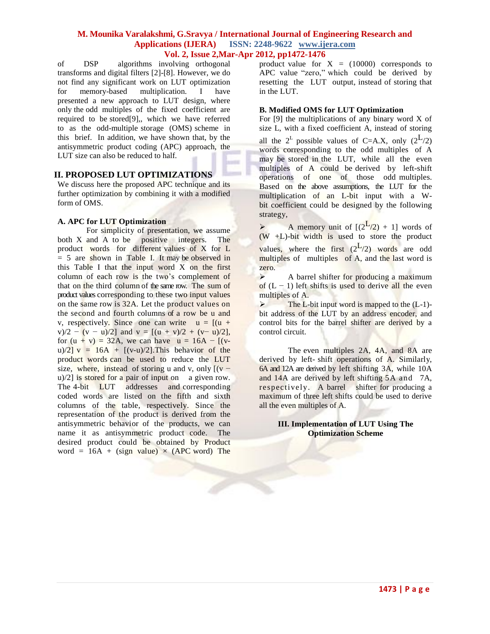of DSP algorithms involving orthogonal transforms and digital filters [2]-[8]. However, we do not find any significant work on LUT optimization for memory-based multiplication. I have presented a new approach to LUT design, where only the odd multiples of the fixed coefficient are required to be stored[9],, which we have referred to as the odd-multiple storage (OMS) scheme in this brief. In addition, we have shown that, by the antisymmetric product coding (APC) approach, the LUT size can also be reduced to half.

### **II. PROPOSED LUT OPTIMIZATIONS**

We discuss here the proposed APC technique and its further optimization by combining it with a modified form of OMS.

#### **A. APC for LUT Optimization**

For simplicity of presentation, we assume both X and A to be positive integers. The product words for different values of X for L  $= 5$  are shown in Table I. It may be observed in this Table I that the input word X on the first column of each row is the two's complement of that on the third column of the same row. The sum of product values corresponding to these two input values on the same row is 32A. Let the product values on the second and fourth columns of a row be u and v, respectively. Since one can write  $u = [(u +$ v)/2 − (v − u)/2] and v =  $[(u + v)/2 + (v - u)/2]$ , for  $(u + v) = 32A$ , we can have  $u = 16A - [(v$ u)/2]  $v = 16A + [(v-u)/2]$ . This behavior of the product words can be used to reduce the LUT size, where, instead of storing u and v, only  $[(v$ u)/2] is stored for a pair of input on a given row. The 4-bit LUT addresses and corresponding coded words are listed on the fifth and sixth columns of the table, respectively. Since the representation of the product is derived from the antisymmetric behavior of the products, we can name it as antisymmetric product code. The desired product could be obtained by Product word = 16A + (sign value)  $\times$  (APC word) The

product value for  $X = (10000)$  corresponds to APC value "zero," which could be derived by resetting the LUT output, instead of storing that in the LUT.

#### **B. Modified OMS for LUT Optimization**

For  $[9]$  the multiplications of any binary word X of size L, with a fixed coefficient A, instead of storing all the  $2^L$  possible values of C=A.X, only  $(2^L/2)$ words corresponding to the odd multiples of A may be stored in the LUT, while all the even multiples of A could be derived by left-shift operations of one of those odd multiples. Based on the above assumptions, the LUT for the multiplication of an L-bit input with a Wbit coefficient could be designed by the following strategy,

A memory unit of  $[(2^{\frac{L}{2}}) + 1]$  words of  $(W + L)$ -bit width is used to store the product values, where the first  $(2^L/2)$  words are odd multiples of multiples of A, and the last word is zero.

 $\triangleright$  A barrel shifter for producing a maximum of  $(L - 1)$  left shifts is used to derive all the even multiples of A.

 The L-bit input word is mapped to the (L-1) bit address of the LUT by an address encoder, and control bits for the barrel shifter are derived by a control circuit.

The even multiples 2A, 4A, and 8A are derived by left- shift operations of A. Similarly, 6A and 12A are derived by left shifting 3A, while 10A and 14A are derived by left shifting 5A and 7A, respectively. A barrel shifter for producing a maximum of three left shifts could be used to derive all the even multiples of A.

### **III. Implementation of LUT Using The Optimization Scheme**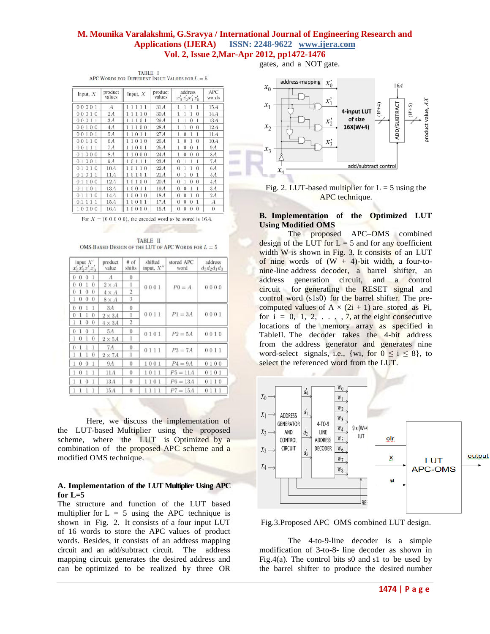$\sim$ **START** 

|                                                  | TABLE I |  |  |
|--------------------------------------------------|---------|--|--|
| APC WORDS FOR DIFFERENT INPUT VALUES FOR $L = 5$ |         |  |  |

| Input, $X$           | product<br>values | Input, $X$                                      | product<br>values | address<br>$x'_3x'_2x'_1x'_0$ | APC<br>words     |
|----------------------|-------------------|-------------------------------------------------|-------------------|-------------------------------|------------------|
| 00001                | $\overline{A}$    | 111<br>11                                       | 31A               |                               | 15A              |
| 0010<br>0            | 2A                | 1 <sub>0</sub>                                  | 30A               | $\Omega$                      | 14A              |
| 0011<br>0            | 3A                | 101                                             | 29A               | 0<br>1                        | 13A              |
| 100<br>0<br>0        | 4A                | 100                                             | 28A               | 0<br>0                        | 12A              |
| 101<br>0<br>$\Omega$ | 5A                | 011<br>1                                        | 27A               | $\Omega$                      | 11A              |
| 110<br>0<br>0        | 6A                | 010<br>ı                                        | 26A               | 1<br>0<br>0                   | 10A              |
| 111<br>0<br>0        | 7Α                | 001<br>1                                        | 25A               | 0<br>$\theta$                 | 9.4              |
| 000<br>0             | 8A                | 000<br>1                                        | 24A               | O<br>0<br>0                   | 8.4              |
| 001<br>0<br>1        | 9A                | 1<br>0<br>1<br>11                               | 23A               | 0                             | 7A               |
| 010<br>0             | 10A               | $\overline{0}$<br>1<br>1<br>0<br>1              | 22A               | 0<br>$\Omega$                 | 6A               |
| 1<br>0<br>0          | 11A               | $\Omega$<br>1<br>0                              | 21A               | 0<br>0                        | 5A               |
| 0 <sub>0</sub><br>Ð  | 12A               | 100<br>0                                        | 20A               | 0<br>0<br>0                   | 4A               |
| $\Omega$<br>-1<br>Ω  | 13A               | 001<br>ı                                        | 19A               | 0<br>0                        | 3A               |
| $\theta$<br>O        | 14A               | $\mathbf{1}$<br>$\overline{0}$<br>0<br>$\Omega$ | 18A               | 0<br>0<br>$\Omega$            | 2A               |
| O                    | 15A               | 0001                                            | 17A               | 0<br>0<br>0                   | $\boldsymbol{A}$ |
| 10000                | 16A               | 10000                                           | 16A               | 0<br>0<br>$\theta$<br>0       | $\theta$         |

For  $X = (0 0 0 0 0)$ , the encoded word to be stored is 16.4.

TABLE II OMS-BASED DESIGN OF THE LUT OF APC WORDS FOR  $L = 5$ 

| input $X'$<br>$x'_3x'_2x'_1x'_0$ | product<br>value | # of<br>shifts | shifted<br>input, $X''$ | stored APC<br>word | address<br>$d_3d_2d_1d_0$ |  |
|----------------------------------|------------------|----------------|-------------------------|--------------------|---------------------------|--|
| -1<br>0<br>0<br>0                | А                | 0              |                         |                    | 0000                      |  |
| 0<br>$\theta$<br>0<br>1          | $2 \times A$     | 1              | 0001                    | $P0 = A$           |                           |  |
| 0<br>0<br>0<br>1                 | $4 \times A$     | $\overline{2}$ |                         |                    |                           |  |
| 0<br>$\theta$<br>$\theta$        | $8 \times A$     | 3              |                         |                    |                           |  |
| $\theta$<br>1<br>0               | 3A               | $\theta$       |                         |                    |                           |  |
| $\theta$<br>0<br>1<br>1          | $2 \times 3A$    | 1              | 0011                    | $P1 = 3A$          | 0001                      |  |
| 0<br>0<br>1<br>1                 | $4 \times 3A$    | 2              |                         |                    |                           |  |
| 1<br>1<br>0<br>0                 | 5A               | $\theta$       | 0101                    | $P2 = 5A$          | 0010                      |  |
| 0<br>1<br>0                      | $2 \times 5A$    |                |                         |                    |                           |  |
| 0<br>1                           | 7A               | $\bf{0}$       | 0111                    | $P3 = 7A$          | 0011                      |  |
| 0<br>1                           | $2\times 7A$     | 1              |                         |                    |                           |  |
| 0<br>1<br>$\Omega$<br>1          | 9A               | 0              | 1001                    | $P4 = 9A$          | 0100                      |  |
| 1<br>0                           | 11 A             | 0              | 1011                    | $P5 = 11A$         | 0101                      |  |
| 0<br>1<br>1                      | 13A              | $\bf{0}$       | 1101                    | $P6 = 13A$         | 0110                      |  |
| 1                                | 15A              | $\theta$       | 111                     | $P7 = 15A$         | 0111                      |  |

Here, we discuss the implementation of the LUT-based Multiplier using the proposed scheme, where the LUT is Optimized by a combination of the proposed APC scheme and a modified OMS technique.

#### **A. Implementation of the LUT Multiplier Using APC** for  $L=5$

The structure and function of the LUT based multiplier for  $L = 5$  using the APC technique is shown in Fig. 2. It consists of a four input LUT of 16 words to store the APC values of product words. Besides, it consists of an address mapping circuit and an add/subtract circuit. The address mapping circuit generates the desired address and can be optimized to be realized by three OR

gates, and a NOT gate.



Fig. 2. LUT-based multiplier for  $L = 5$  using the APC technique.

### **B. Implementation of the Optimized LUT Using Modified OMS**

The proposed APC–OMS combined design of the LUT for  $L = 5$  and for any coefficient width W is shown in Fig. 3. It consists of an LUT of nine words of  $(W + 4)$ -bit width, a four-tonine-line address decoder, a barrel shifter, an address generation circuit, and a control circuit for generating the RESET signal and control word (s1s0) for the barrel shifter. The precomputed values of  $A \times (2i + 1)$  are stored as Pi, for  $i = 0, 1, 2, \ldots, 7$ , at the eight consecutive locations of the memory array as specified in TableII. The decoder takes the 4-bit address from the address generator and generates nine word-select signals, i.e., {wi, for  $0 \le i \le 8$ }, to select the referenced word from the LUT.



Fig.3.Proposed APC–OMS combined LUT design.

The 4-to-9-line decoder is a simple modification of 3-to-8- line decoder as shown in Fig.4(a). The control bits  $s0$  and  $s1$  to be used by the barrel shifter to produce the desired number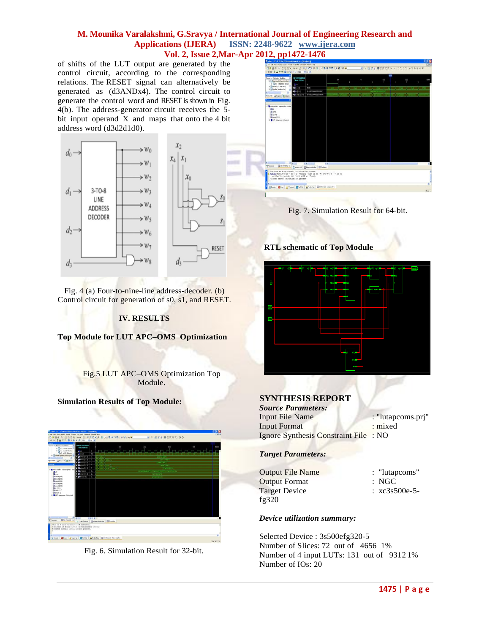of shifts of the LUT output are generated by the control circuit, according to the corresponding relations. The RESET signal can alternatively be generated as (d3ANDx4). The control circuit to generate the control word and RESET is shown in Fig. 4(b). The address-generator circuit receives the 5 bit input operand X and maps that onto the 4 bit address word (d3d2d1d0).



Fig. 4 (a) Four-to-nine-line address-decoder. (b) Control circuit for generation of s0, s1, and RESET.

### **IV. RESULTS**

**Top Module for LUT APC–OMS Optimization**

Fig.5 LUT APC–OMS Optimization Top Module.

#### **Simulation Results of Top Module:**



Fig. 6. Simulation Result for 32-bit.



Fig. 7. Simulation Result for 64-bit.

**RTL schematic of Top Module**



## **SYNTHESIS REPORT**

*Source Parameters:* Input File Name : "lutapcoms.prj" Input Format : mixed Ignore Synthesis Constraint File : NO

### *Target Parameters:*

| <b>Output File Name</b> | : "lutapcoms"            |
|-------------------------|--------------------------|
| <b>Output Format</b>    | : NGC                    |
| <b>Target Device</b>    | $\therefore$ xc3s500e-5- |
| fg $320$                |                          |
|                         |                          |

#### *Device utilization summary:*

Selected Device : 3s500efg320-5 Number of Slices: 72 out of 4656 1% Number of 4 input LUTs: 131 out of 9312 1% Number of IOs: 20